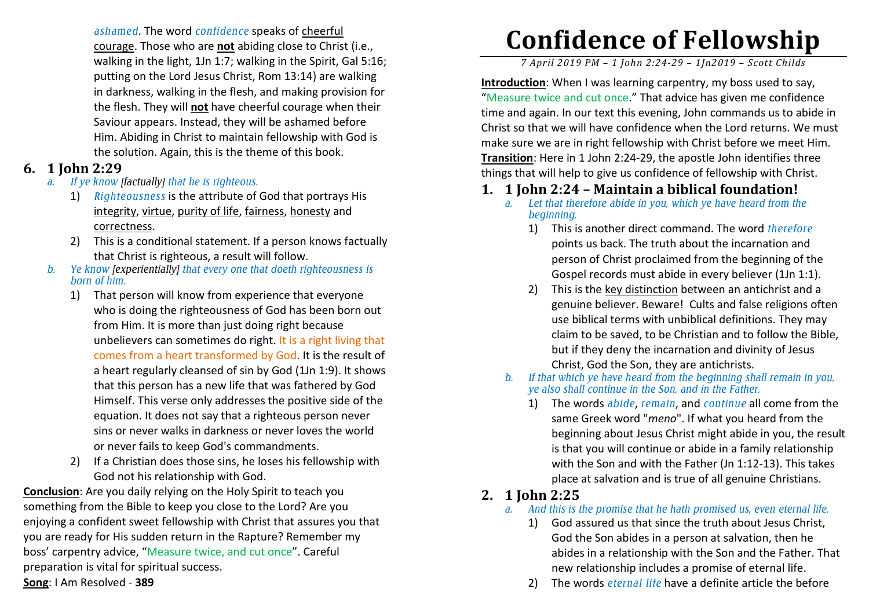*ashamed*. The word *confidence* speaks of cheerful

courage. Those who are **not** abiding close to Christ (i.e., walking in the light, 1Jn 1:7; walking in the Spirit, Gal 5:16; putting on the Lord Jesus Christ, Rom 13:14) are walking in darkness, walking in the flesh, and making provision for the flesh. They will **not** have cheerful courage when their Saviour appears. Instead, they will be ashamed before Him. Abiding in Christ to maintain fellowship with God is the solution. Again, this is the theme of this book.

## **6. 1 John 2:29**

#### *a. If ye know [factually] that he is righteous.*

- 1) *Righteousness* is the attribute of God that portrays His integrity, virtue, purity of life, fairness, honesty and correctness.
- 2) This is a conditional statement. If a person knows factually that Christ is righteous, a result will follow.
- *Ye know [experientially] that every one that doeth righteousness is b.born of him.* 
	- 1) That person will know from experience that everyone who is doing the righteousness of God has been born out from Him. It is more than just doing right because unbelievers can sometimes do right. It is a right living that comes from a heart transformed by God. It is the result of a heart regularly cleansed of sin by God (1Jn 1:9). It shows that this person has a new life that was fathered by God Himself. This verse only addresses the positive side of the equation. It does not say that a righteous person never sins or never walks in darkness or never loves the world or never fails to keep God's commandments.
	- 2) If a Christian does those sins, he loses his fellowship with God not his relationship with God.

**Conclusion**: Are you daily relying on the Holy Spirit to teach you something from the Bible to keep you close to the Lord? Are you enjoying a confident sweet fellowship with Christ that assures you that you are ready for His sudden return in the Rapture? Remember my boss' carpentry advice, "Measure twice, and cut once". Careful preparation is vital for spiritual success. **Song**: I Am Resolved - **389**

# **Confidence of Fellowship**

*7 April 2019 PM – 1 John 2:24-29 – 1Jn2019 – Scott Childs* 

**Introduction**: When I was learning carpentry, my boss used to say, "Measure twice and cut once." That advice has given me confidence time and again. In our text this evening, John commands us to abide in Christ so that we will have confidence when the Lord returns. We must make sure we are in right fellowship with Christ before we meet Him. **Transition**: Here in 1 John 2:24-29, the apostle John identifies three things that will help to give us confidence of fellowship with Christ.

# **1. 1 John 2:24 – Maintain a biblical foundation!**

- *a. Let that therefore abide in you, which ye have heard from the beginning.* 
	- 1) This is another direct command. The word *therefore* points us back. The truth about the incarnation and person of Christ proclaimed from the beginning of the Gospel records must abide in every believer (1Jn 1:1).
	- 2) This is the key distinction between an antichrist and a genuine believer. Beware! Cults and false religions often use biblical terms with unbiblical definitions. They may claim to be saved, to be Christian and to follow the Bible, but if they deny the incarnation and divinity of Jesus Christ, God the Son, they are antichrists.
- *b. If that which ye have heard from the beginning shall remain in you, ye also shall continue in the Son, and in the Father.* 
	- 1) The words *abide*, *remain*, and *continue* all come from the same Greek word "*meno*". If what you heard from the beginning about Jesus Christ might abide in you, the result is that you will continue or abide in a family relationship with the Son and with the Father (Jn 1:12-13). This takes place at salvation and is true of all genuine Christians.
- **2. 1 John 2:25** 
	- *a. And this is the promise that he hath promised us, even eternal life.* 
		- 1) God assured us that since the truth about Jesus Christ, God the Son abides in a person at salvation, then he abides in a relationship with the Son and the Father. That new relationship includes a promise of eternal life.
		- $2)$ The words *eternal life* have a definite article the before